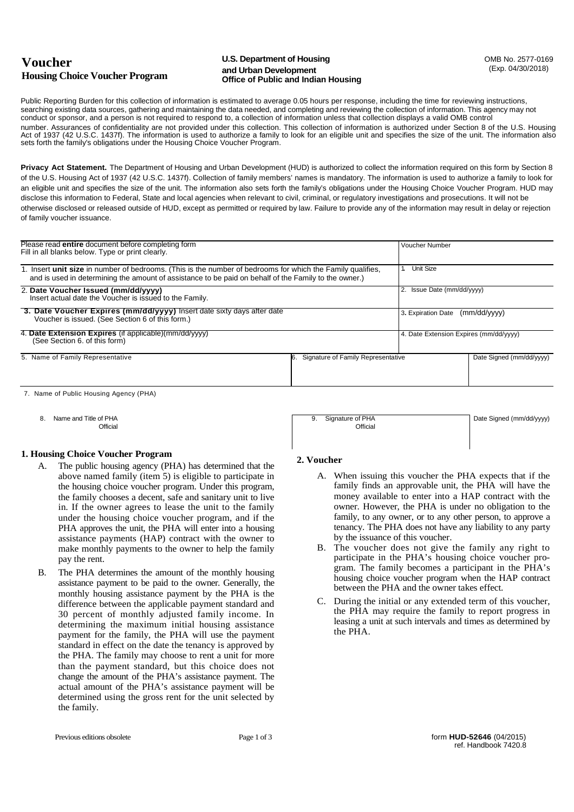# **Voucher Housing Choice Voucher Program**

#### **U.S. Department of Housing COMB No. 2577-0169 and Urban Development Office of Public and Indian Housing**

Date Signed (mm/dd/yyyy)

Public Reporting Burden for this collection of information is estimated to average 0.05 hours per response, including the time for reviewing instructions, searching existing data sources, gathering and maintaining the data needed, and completing and reviewing the collection of information. This agency may not conduct or sponsor, and a person is not required to respond to, a collection of information unless that collection displays a valid OMB control number. Assurances of confidentiality are not provided under this collection. This collection of information is authorized under Section 8 of the U.S. Housing Act of 1937 (42 U.S.C. 1437f). The information is used to authorize a family to look for an eligible unit and specifies the size of the unit. The information also sets forth the family's obligations under the Housing Choice Voucher Program.

**Privacy Act Statement.** The Department of Housing and Urban Development (HUD) is authorized to collect the information required on this form by Section 8 of the U.S. Housing Act of 1937 (42 U.S.C. 1437f). Collection of family members' names is mandatory. The information is used to authorize a family to look for an eligible unit and specifies the size of the unit. The information also sets forth the family's obligations under the Housing Choice Voucher Program. HUD may disclose this information to Federal, State and local agencies when relevant to civil, criminal, or regulatory investigations and prosecutions. It will not be otherwise disclosed or released outside of HUD, except as permitted or required by law. Failure to provide any of the information may result in delay or rejection of family voucher issuance.

| Please read entire document before completing form<br>Fill in all blanks below. Type or print clearly.                                                                                                              |                                       | <b>Voucher Number</b>                  |                          |
|---------------------------------------------------------------------------------------------------------------------------------------------------------------------------------------------------------------------|---------------------------------------|----------------------------------------|--------------------------|
| 1. Insert unit size in number of bedrooms. (This is the number of bedrooms for which the Family qualifies,<br>and is used in determining the amount of assistance to be paid on behalf of the Family to the owner.) |                                       | <b>Unit Size</b>                       |                          |
| 2. Date Voucher Issued (mm/dd/yyyy)<br>Insert actual date the Voucher is issued to the Family.                                                                                                                      |                                       | 2. Issue Date (mm/dd/yyyy)             |                          |
| 3. Date Voucher Expires (mm/dd/yyyy) Insert date sixty days after date<br>Voucher is issued. (See Section 6 of this form.)                                                                                          |                                       | (mm/dd/yyyy)<br>3. Expiration Date     |                          |
| 4. Date Extension Expires (if applicable)(mm/dd/yyyy)<br>(See Section 6. of this form)                                                                                                                              |                                       | 4. Date Extension Expires (mm/dd/yyyy) |                          |
| 5. Name of Family Representative                                                                                                                                                                                    | 6. Signature of Family Representative |                                        | Date Signed (mm/dd/yyyy) |

7. Name of Public Housing Agency (PHA)

- 8. Name and Title of PHA
	- **Official**

### **1. Housing Choice Voucher Program**

- A. The public housing agency (PHA) has determined that the above named family (item 5) is eligible to participate in the housing choice voucher program. Under this program, the family chooses a decent, safe and sanitary unit to live in. If the owner agrees to lease the unit to the family under the housing choice voucher program, and if the PHA approves the unit, the PHA will enter into a housing assistance payments (HAP) contract with the owner to make monthly payments to the owner to help the family pay the rent.
- B. The PHA determines the amount of the monthly housing assistance payment to be paid to the owner. Generally, the monthly housing assistance payment by the PHA is the difference between the applicable payment standard and 30 percent of monthly adjusted family income. In determining the maximum initial housing assistance payment for the family, the PHA will use the payment standard in effect on the date the tenancy is approved by the PHA. The family may choose to rent a unit for more than the payment standard, but this choice does not change the amount of the PHA's assistance payment. The actual amount of the PHA's assistance payment will be determined using the gross rent for the unit selected by the family.

# **2. Voucher**

9. Signature of PHA

**Official** 

- A. When issuing this voucher the PHA expects that if the family finds an approvable unit, the PHA will have the money available to enter into a HAP contract with the owner. However, the PHA is under no obligation to the family, to any owner, or to any other person, to approve a tenancy. The PHA does not have any liability to any party by the issuance of this voucher.
- B. The voucher does not give the family any right to participate in the PHA's housing choice voucher program. The family becomes a participant in the PHA's housing choice voucher program when the HAP contract between the PHA and the owner takes effect.
- C. During the initial or any extended term of this voucher, the PHA may require the family to report progress in leasing a unit at such intervals and times as determined by the PHA.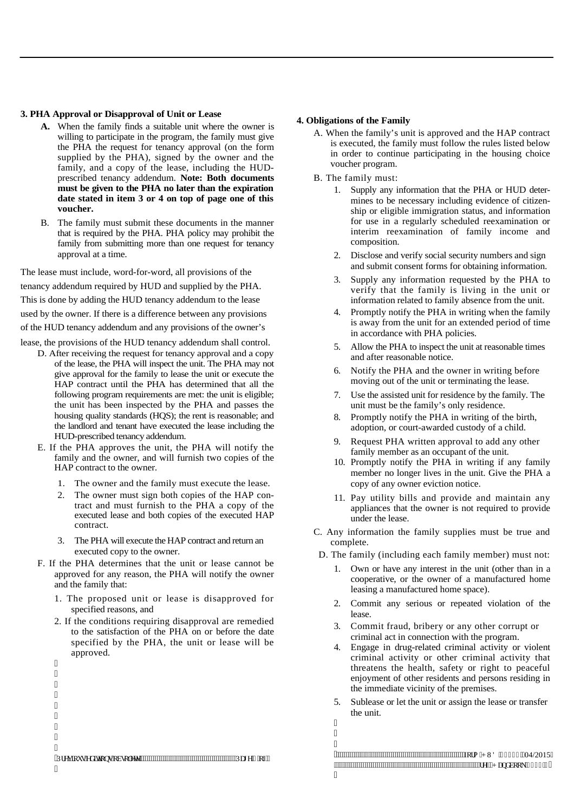### **3. PHA Approval or Disapproval of Unit or Lease**

- **A.** When the family finds a suitable unit where the owner is willing to participate in the program, the family must give the PHA the request for tenancy approval (on the form supplied by the PHA), signed by the owner and the family, and a copy of the lease, including the HUDprescribed tenancy addendum. **Note: Both documents must be given to the PHA no later than the expiration date stated in item 3 or 4 on top of page one of this voucher.**
- B. The family must submit these documents in the manner that is required by the PHA. PHA policy may prohibit the family from submitting more than one request for tenancy approval at a time.

The lease must include, word-for-word, all provisions of the tenancy addendum required by HUD and supplied by the PHA. This is done by adding the HUD tenancy addendum to the lease used by the owner. If there is a difference between any provisions of the HUD tenancy addendum and any provisions of the owner's

lease, the provisions of the HUD tenancy addendum shall control.

- D. After receiving the request for tenancy approval and a copy of the lease, the PHA will inspect the unit. The PHA may not give approval for the family to lease the unit or execute the HAP contract until the PHA has determined that all the following program requirements are met: the unit is eligible; the unit has been inspected by the PHA and passes the housing quality standards (HQS); the rent is reasonable; and the landlord and tenant have executed the lease including the HUD-prescribed tenancy addendum.
- E. If the PHA approves the unit, the PHA will notify the family and the owner, and will furnish two copies of the HAP contract to the owner.
	- 1. The owner and the family must execute the lease.
	- 2. The owner must sign both copies of the HAP contract and must furnish to the PHA a copy of the executed lease and both copies of the executed HAP contract.
	- 3. The PHA will execute the HAP contract and return an executed copy to the owner.
- F. If the PHA determines that the unit or lease cannot be approved for any reason, the PHA will notify the owner and the family that:
	- 1. The proposed unit or lease is disapproved for specified reasons, and
	- 2. If the conditions requiring disapproval are remedied to the satisfaction of the PHA on or before the date specified by the PHA, the unit or lease will be approved.

| $^{\prime\prime}$             |                 |
|-------------------------------|-----------------|
| $\pmb{\mathsf{H}}$            |                 |
| $^{\prime\prime}$             |                 |
| $\pmb{\mathsf{H}}$            |                 |
| $\pmb{\mathsf{H}}$            |                 |
| $\pmb{\mathsf{H}}$            |                 |
| $^{\prime\prime}$             |                 |
| $^{\prime\prime}$             |                 |
| $^{\prime\prime}$             |                 |
| "Rtgxkqwu"gf kkqpu"qduqrgvg"" | """Rci g'4"qh'5 |

I

#### **4. Obligations of the Family**

- A. When the family's unit is approved and the HAP contract is executed, the family must follow the rules listed below in order to continue participating in the housing choice voucher program.
- B. The family must:
	- 1. Supply any information that the PHA or HUD determines to be necessary including evidence of citizenship or eligible immigration status, and information for use in a regularly scheduled reexamination or interim reexamination of family income and composition.
	- 2. Disclose and verify social security numbers and sign and submit consent forms for obtaining information.
	- 3. Supply any information requested by the PHA to verify that the family is living in the unit or information related to family absence from the unit.
	- 4. Promptly notify the PHA in writing when the family is away from the unit for an extended period of time in accordance with PHA policies.
	- 5. Allow the PHA to inspect the unit at reasonable times and after reasonable notice.
	- 6. Notify the PHA and the owner in writing before moving out of the unit or terminating the lease.
	- 7. Use the assisted unit for residence by the family. The unit must be the family's only residence.
	- 8. Promptly notify the PHA in writing of the birth, adoption, or court-awarded custody of a child.
	- 9. Request PHA written approval to add any other family member as an occupant of the unit.
	- 10. Promptly notify the PHA in writing if any family member no longer lives in the unit. Give the PHA a copy of any owner eviction notice.
	- 11. Pay utility bills and provide and maintain any appliances that the owner is not required to provide under the lease.
- C. Any information the family supplies must be true and complete.
- D. The family (including each family member) must not:
	- Own or have any interest in the unit (other than in a cooperative, or the owner of a manufactured home leasing a manufactured home space).
	- 2. Commit any serious or repeated violation of the lease.
	- 3. Commit fraud, bribery or any other corrupt or criminal act in connection with the program.
	- 4. Engage in drug-related criminal activity or violent criminal activity or other criminal activity that threatens the health, safety or right to peaceful enjoyment of other residents and persons residing in the immediate vicinity of the premises.
	- 5. Sublease or let the unit or assign the lease or transfer the unit.

I I I

I

IRUP+8'04/2015 UHI+DQGERRN